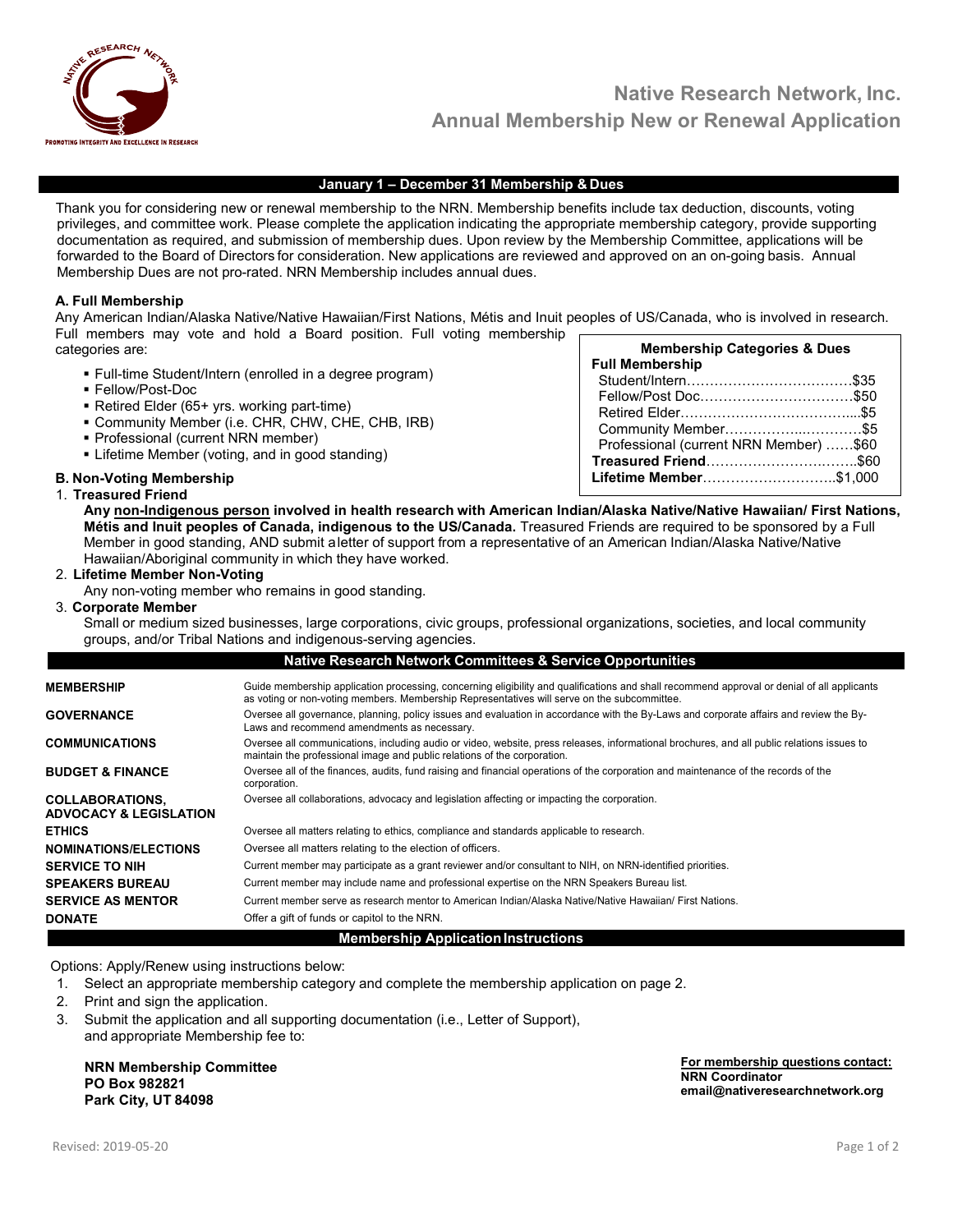

#### January 1 – December 31 Membership & Dues

Thank you for considering new or renewal membership to the NRN. Membership benefits include tax deduction, discounts, voting privileges, and committee work. Please complete the application indicating the appropriate membership category, provide supporting documentation as required, and submission of membership dues. Upon review by the Membership Committee, applications will be forwarded to the Board of Directors for consideration. New applications are reviewed and approved on an on-going basis. Annual Membership Dues are not pro-rated. NRN Membership includes annual dues.

### A. Full Membership

Membership Categories & Dues Any American Indian/Alaska Native/Native Hawaiian/First Nations, Métis and Inuit peoples of US/Canada, who is involved in research. Full members may vote and hold a Board position. Full voting membership categories are:

- Full-time Student/Intern (enrolled in a degree program)
- Fellow/Post-Doc
- Retired Elder (65+ yrs. working part-time)
- Community Member (i.e. CHR, CHW, CHE, CHB, IRB)
- **Professional (current NRN member)**
- **Example 1** Lifetime Member (voting, and in good standing)

#### B. Non-Voting Membership 1. Treasured Friend

Full Membership Student/Intern………………………………\$35 Fellow/Post Doc……………………………\$50 Retired Elder………………………………....\$5 Community Member……………...…………\$5 Professional (current NRN Member) ……\$60 Treasured Friend…………………….……..\$60 Lifetime Member………………………..\$1,000

Any non-Indigenous person involved in health research with American Indian/Alaska Native/Native Hawaiian/ First Nations, Métis and Inuit peoples of Canada, indigenous to the US/Canada. Treasured Friends are required to be sponsored by a Full Member in good standing, AND submit a letter of support from a representative of an American Indian/Alaska Native/Native Hawaiian/Aboriginal community in which they have worked.

### 2. Lifetime Member Non-Voting

Any non-voting member who remains in good standing.

3. Corporate Member

Small or medium sized businesses, large corporations, civic groups, professional organizations, societies, and local community groups, and/or Tribal Nations and indigenous-serving agencies.

|                                                             | <b>Native Research Network Committees &amp; Service Opportunities</b>                                                                                                                                                                      |
|-------------------------------------------------------------|--------------------------------------------------------------------------------------------------------------------------------------------------------------------------------------------------------------------------------------------|
| <b>MEMBERSHIP</b>                                           | Guide membership application processing, concerning eligibility and qualifications and shall recommend approval or denial of all applicants<br>as voting or non-voting members. Membership Representatives will serve on the subcommittee. |
| <b>GOVERNANCE</b>                                           | Oversee all governance, planning, policy issues and evaluation in accordance with the By-Laws and corporate affairs and review the By-<br>Laws and recommend amendments as necessary.                                                      |
| COMMUNICATIONS                                              | Oversee all communications, including audio or video, website, press releases, informational brochures, and all public relations issues to<br>maintain the professional image and public relations of the corporation.                     |
| <b>BUDGET &amp; FINANCE</b>                                 | Oversee all of the finances, audits, fund raising and financial operations of the corporation and maintenance of the records of the<br>corporation.                                                                                        |
| <b>COLLABORATIONS,</b><br><b>ADVOCACY &amp; LEGISLATION</b> | Oversee all collaborations, advocacy and legislation affecting or impacting the corporation.                                                                                                                                               |
| <b>ETHICS</b>                                               | Oversee all matters relating to ethics, compliance and standards applicable to research.                                                                                                                                                   |
| <b>NOMINATIONS/ELECTIONS</b>                                | Oversee all matters relating to the election of officers.                                                                                                                                                                                  |
| <b>SERVICE TO NIH</b>                                       | Current member may participate as a grant reviewer and/or consultant to NIH, on NRN-identified priorities.                                                                                                                                 |
| <b>SPEAKERS BUREAU</b>                                      | Current member may include name and professional expertise on the NRN Speakers Bureau list.                                                                                                                                                |
| SERVICE AS MENTOR                                           | Current member serve as research mentor to American Indian/Alaska Native/Native Hawaiian/ First Nations.                                                                                                                                   |
| <b>DONATE</b>                                               | Offer a gift of funds or capitol to the NRN.                                                                                                                                                                                               |
|                                                             | Momborchin Annlication Instructions                                                                                                                                                                                                        |

#### pership Application

Options: Apply/Renew using instructions below:

- 1. Select an appropriate membership category and complete the membership application on page 2.
- 2. Print and sign the application.
- 3. Submit the application and all supporting documentation (i.e., Letter of Support), and appropriate Membership fee to:

NRN Membership Committee PO Box 982821 Park City, UT 84098

For membership questions contact: NRN Coordinator email@nativeresearchnetwork.org